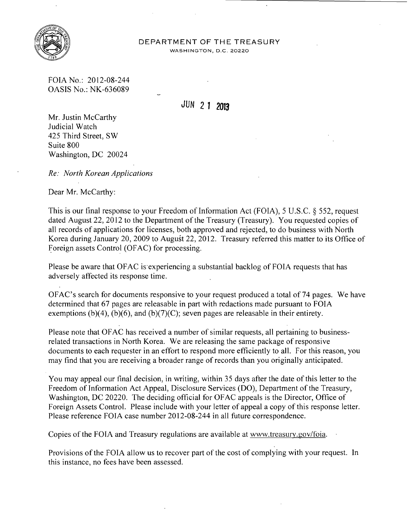

## DEPARTMENT OF THE TREASURY

WASHINGTON, D.C. 20220

FOIA No.: 2012-08-244 OASIS No.: NK-636089

## JUN 2 **1 2013**

Mr. Justin McCarthy Judicial Watch 425 Third Street, SW Suite 800 Washington, DC 20024

*Re: North Korean Applications* 

Dear Mr. McCarthy:

This is our final response to your Freedom of Information Act (FOIA), 5 U.S.C.  $\S$  552, request dated August 22, 2012 to the Department of the Treasury (Treasury). You requested copies of all records of applications for licenses, both approved and rejected, to do business with North Korea during January 20, 2009 to August 22,2012. Treasury referred this matter to its Office of Foreign assets Control (OFAC) for processing.

Please be aware that OFAC is experiencing a substantial backlog of FOIA requests that has adversely affected its response time.

OFAC's search for documents responsive to your request produced a total of 74 pages. We have determined that 67 pages are releasable in part with redactions made pursuant to FOIA exemptions (b)(4), (b)(6), and (b)(7)(C); seven pages are releasable in their entirety.

Please note that OF AC has received a number of similar requests, all pertaining to businessrelated transactions in North Korea. We are releasing the same package of responsive documents to each requester in an effort to respond more efficiently to all. For this reason, you may find that you are receiving a broader range of records than you originally anticipated.

You may appeal our final decision, in writing, within 35 days after the date of this letter to the Freedom of Information Act Appeal, Disclosure Services (DO), Department of the Treasury, Washington, DC 20220. The deciding official for OF AC appeals is the Director, Office of Foreign Assets Control. Please include with your letter of appeal a copy of this response letter. Please reference FOIA case number 2012-08-244 in all future correspondence.

Copies of the FOIA and Treasury regulations are available at www.treasury.gov/foia.

Provisions of the FOIA allow us to recover part of the cost of complying with your request. In this instance, no fees have been assessed.